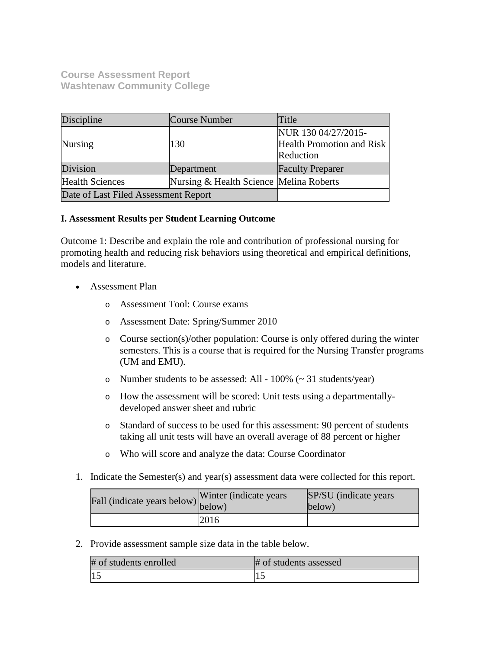**Course Assessment Report Washtenaw Community College**

| Discipline                           | Course Number                           | Title                                                         |
|--------------------------------------|-----------------------------------------|---------------------------------------------------------------|
| <b>Nursing</b>                       | 130                                     | NUR 130 04/27/2015-<br>Health Promotion and Risk<br>Reduction |
| Division                             | Department                              | <b>Faculty Preparer</b>                                       |
| <b>Health Sciences</b>               | Nursing & Health Science Melina Roberts |                                                               |
| Date of Last Filed Assessment Report |                                         |                                                               |

## **I. Assessment Results per Student Learning Outcome**

Outcome 1: Describe and explain the role and contribution of professional nursing for promoting health and reducing risk behaviors using theoretical and empirical definitions, models and literature.

- Assessment Plan
	- o Assessment Tool: Course exams
	- o Assessment Date: Spring/Summer 2010
	- o Course section(s)/other population: Course is only offered during the winter semesters. This is a course that is required for the Nursing Transfer programs (UM and EMU).
	- o Number students to be assessed: All  $100\%$  ( $\sim$  31 students/year)
	- o How the assessment will be scored: Unit tests using a departmentallydeveloped answer sheet and rubric
	- o Standard of success to be used for this assessment: 90 percent of students taking all unit tests will have an overall average of 88 percent or higher
	- o Who will score and analyze the data: Course Coordinator
- 1. Indicate the Semester(s) and year(s) assessment data were collected for this report.

| Fall (indicate years below) below) | Winter (indicate years) | SP/SU (indicate years)<br>below) |
|------------------------------------|-------------------------|----------------------------------|
|                                    | 2016                    |                                  |

2. Provide assessment sample size data in the table below.

| # of students enrolled | # of students assessed |
|------------------------|------------------------|
|                        |                        |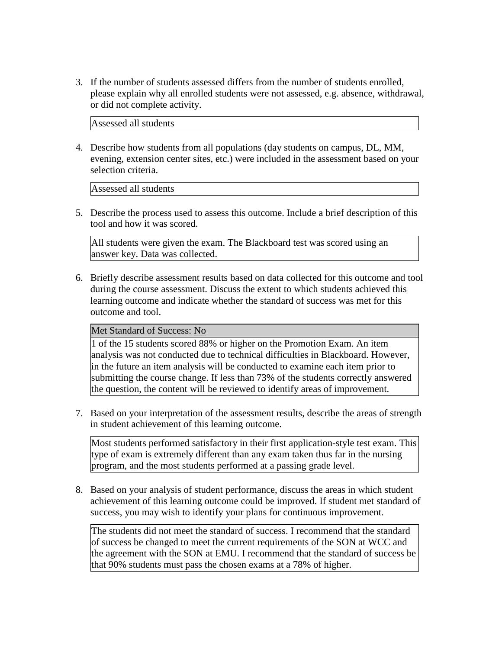3. If the number of students assessed differs from the number of students enrolled, please explain why all enrolled students were not assessed, e.g. absence, withdrawal, or did not complete activity.

Assessed all students

4. Describe how students from all populations (day students on campus, DL, MM, evening, extension center sites, etc.) were included in the assessment based on your selection criteria.

Assessed all students

5. Describe the process used to assess this outcome. Include a brief description of this tool and how it was scored.

All students were given the exam. The Blackboard test was scored using an answer key. Data was collected.

6. Briefly describe assessment results based on data collected for this outcome and tool during the course assessment. Discuss the extent to which students achieved this learning outcome and indicate whether the standard of success was met for this outcome and tool.

### Met Standard of Success: No

1 of the 15 students scored 88% or higher on the Promotion Exam. An item analysis was not conducted due to technical difficulties in Blackboard. However, in the future an item analysis will be conducted to examine each item prior to submitting the course change. If less than 73% of the students correctly answered the question, the content will be reviewed to identify areas of improvement.

7. Based on your interpretation of the assessment results, describe the areas of strength in student achievement of this learning outcome.

Most students performed satisfactory in their first application-style test exam. This type of exam is extremely different than any exam taken thus far in the nursing program, and the most students performed at a passing grade level.

8. Based on your analysis of student performance, discuss the areas in which student achievement of this learning outcome could be improved. If student met standard of success, you may wish to identify your plans for continuous improvement.

The students did not meet the standard of success. I recommend that the standard of success be changed to meet the current requirements of the SON at WCC and the agreement with the SON at EMU. I recommend that the standard of success be that 90% students must pass the chosen exams at a 78% of higher.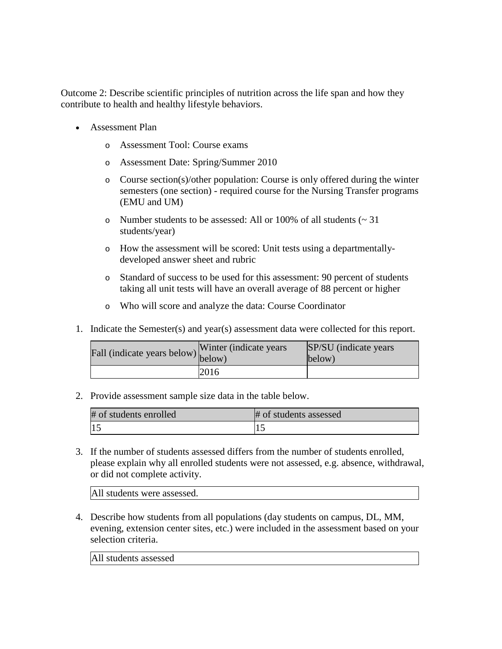Outcome 2: Describe scientific principles of nutrition across the life span and how they contribute to health and healthy lifestyle behaviors.

- Assessment Plan
	- o Assessment Tool: Course exams
	- o Assessment Date: Spring/Summer 2010
	- o Course section(s)/other population: Course is only offered during the winter semesters (one section) - required course for the Nursing Transfer programs (EMU and UM)
	- o Number students to be assessed: All or 100% of all students (~ 31 students/year)
	- o How the assessment will be scored: Unit tests using a departmentallydeveloped answer sheet and rubric
	- o Standard of success to be used for this assessment: 90 percent of students taking all unit tests will have an overall average of 88 percent or higher
	- o Who will score and analyze the data: Course Coordinator
- 1. Indicate the Semester(s) and year(s) assessment data were collected for this report.

| Fall (indicate years below) below) | Winter (indicate years) | <b>SP/SU</b> (indicate years)<br>below) |
|------------------------------------|-------------------------|-----------------------------------------|
|                                    | 2016                    |                                         |

2. Provide assessment sample size data in the table below.

| # of students enrolled | # of students assessed |
|------------------------|------------------------|
|                        |                        |

3. If the number of students assessed differs from the number of students enrolled, please explain why all enrolled students were not assessed, e.g. absence, withdrawal, or did not complete activity.

All students were assessed.

4. Describe how students from all populations (day students on campus, DL, MM, evening, extension center sites, etc.) were included in the assessment based on your selection criteria.

All students assessed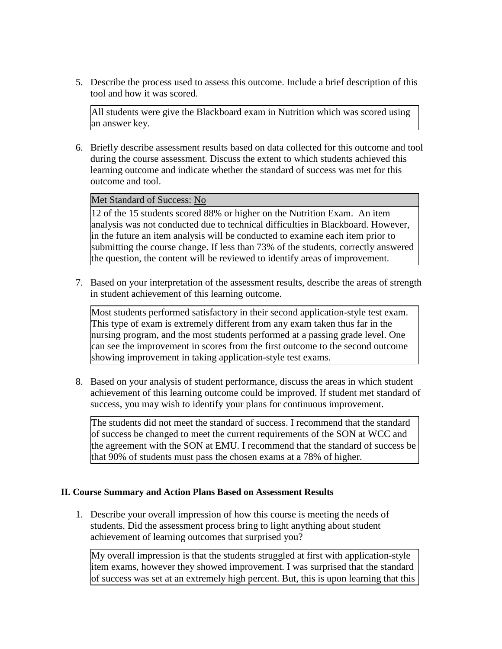5. Describe the process used to assess this outcome. Include a brief description of this tool and how it was scored.

All students were give the Blackboard exam in Nutrition which was scored using an answer key.

6. Briefly describe assessment results based on data collected for this outcome and tool during the course assessment. Discuss the extent to which students achieved this learning outcome and indicate whether the standard of success was met for this outcome and tool.

### Met Standard of Success: No

12 of the 15 students scored 88% or higher on the Nutrition Exam. An item analysis was not conducted due to technical difficulties in Blackboard. However, in the future an item analysis will be conducted to examine each item prior to submitting the course change. If less than 73% of the students, correctly answered the question, the content will be reviewed to identify areas of improvement.

7. Based on your interpretation of the assessment results, describe the areas of strength in student achievement of this learning outcome.

Most students performed satisfactory in their second application-style test exam. This type of exam is extremely different from any exam taken thus far in the nursing program, and the most students performed at a passing grade level. One can see the improvement in scores from the first outcome to the second outcome showing improvement in taking application-style test exams.

8. Based on your analysis of student performance, discuss the areas in which student achievement of this learning outcome could be improved. If student met standard of success, you may wish to identify your plans for continuous improvement.

The students did not meet the standard of success. I recommend that the standard of success be changed to meet the current requirements of the SON at WCC and the agreement with the SON at EMU. I recommend that the standard of success be that 90% of students must pass the chosen exams at a 78% of higher.

#### **II. Course Summary and Action Plans Based on Assessment Results**

1. Describe your overall impression of how this course is meeting the needs of students. Did the assessment process bring to light anything about student achievement of learning outcomes that surprised you?

My overall impression is that the students struggled at first with application-style item exams, however they showed improvement. I was surprised that the standard of success was set at an extremely high percent. But, this is upon learning that this